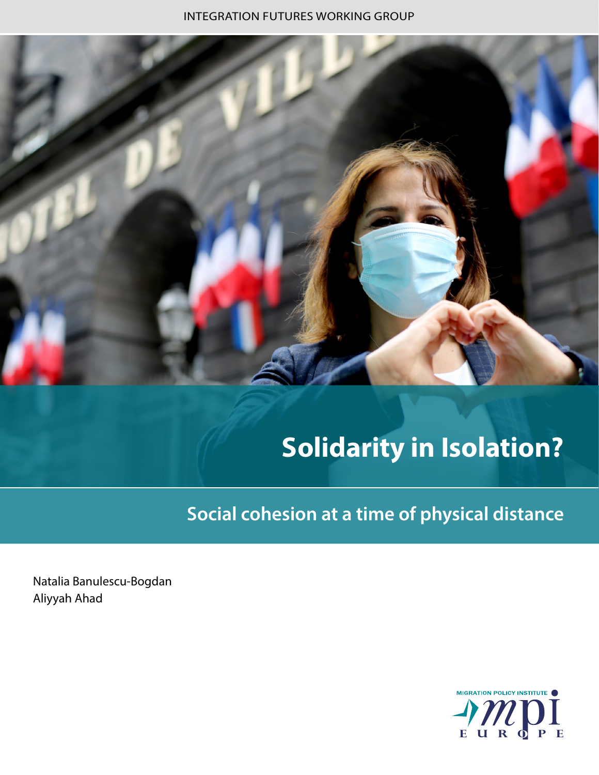INTEGRATION FUTURES WORKING GROUP



# **Solidarity in Isolation?**

**Social cohesion at a time of physical distance**

Natalia Banulescu-Bogdan Aliyyah Ahad

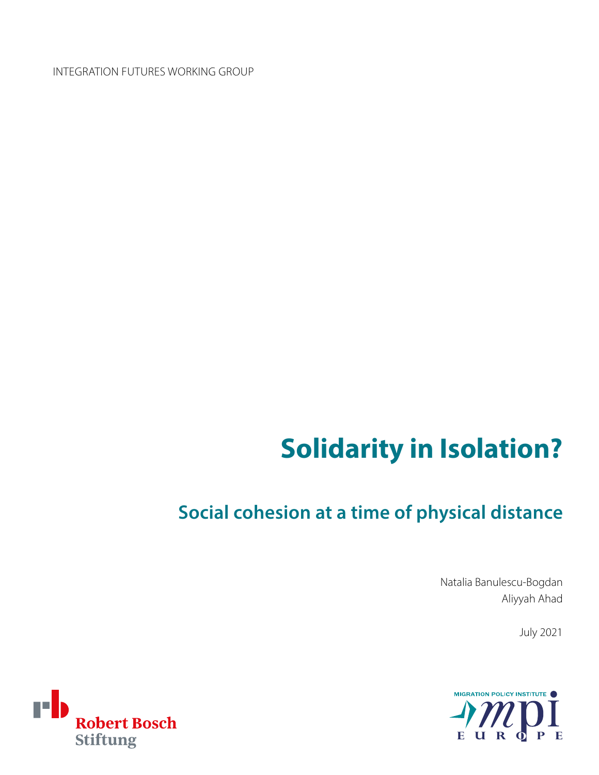INTEGRATION FUTURES WORKING GROUP

# **Solidarity in Isolation?**

# **Social cohesion at a time of physical distance**

Natalia Banulescu-Bogdan Aliyyah Ahad

July 2021



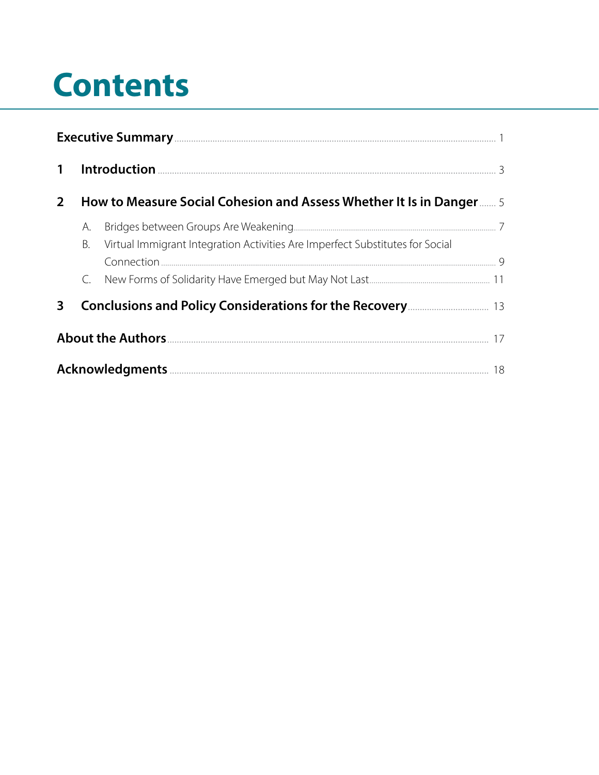# **Contents**

| $\mathbf{1}$ |                                                                                                                                               |                                                                               |  |
|--------------|-----------------------------------------------------------------------------------------------------------------------------------------------|-------------------------------------------------------------------------------|--|
| $2^{\circ}$  |                                                                                                                                               | How to Measure Social Cohesion and Assess Whether It Is in Danger 5           |  |
|              | А.<br>В.                                                                                                                                      | Virtual Immigrant Integration Activities Are Imperfect Substitutes for Social |  |
|              |                                                                                                                                               |                                                                               |  |
| $\mathbf{3}$ | <b>Conclusions and Policy Considerations for the Recovery <u>Conclusions</u> and Policy Considerations for the Recovery Considerations</b> 13 |                                                                               |  |
|              |                                                                                                                                               |                                                                               |  |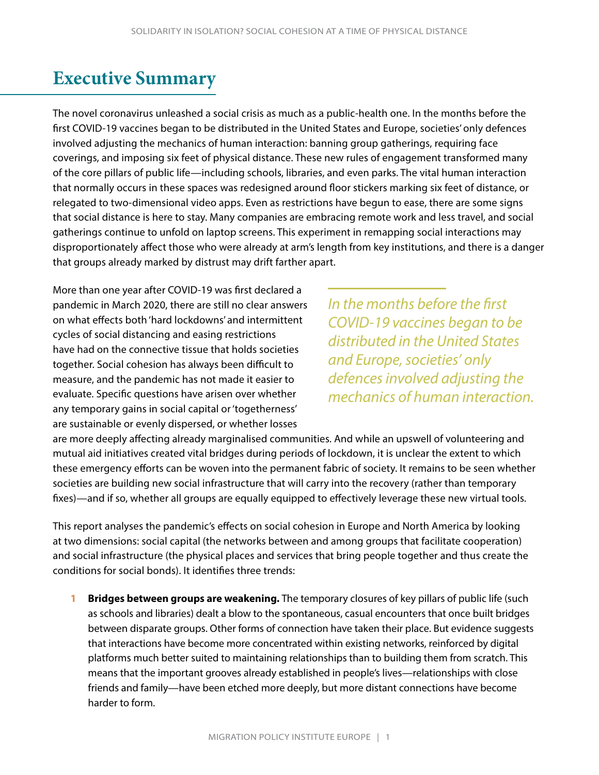### <span id="page-3-0"></span>**Executive Summary**

The novel coronavirus unleashed a social crisis as much as a public-health one. In the months before the first COVID-19 vaccines began to be distributed in the United States and Europe, societies' only defences involved adjusting the mechanics of human interaction: banning group gatherings, requiring face coverings, and imposing six feet of physical distance. These new rules of engagement transformed many of the core pillars of public life—including schools, libraries, and even parks. The vital human interaction that normally occurs in these spaces was redesigned around floor stickers marking six feet of distance, or relegated to two-dimensional video apps. Even as restrictions have begun to ease, there are some signs that social distance is here to stay. Many companies are embracing remote work and less travel, and social gatherings continue to unfold on laptop screens. This experiment in remapping social interactions may disproportionately affect those who were already at arm's length from key institutions, and there is a danger that groups already marked by distrust may drift farther apart.

More than one year after COVID-19 was first declared a pandemic in March 2020, there are still no clear answers on what effects both 'hard lockdowns' and intermittent cycles of social distancing and easing restrictions have had on the connective tissue that holds societies together. Social cohesion has always been difficult to measure, and the pandemic has not made it easier to evaluate. Specific questions have arisen over whether any temporary gains in social capital or 'togetherness' are sustainable or evenly dispersed, or whether losses

*In the months before the first COVID-19 vaccines began to be distributed in the United States and Europe, societies' only defences involved adjusting the mechanics of human interaction.*

are more deeply affecting already marginalised communities. And while an upswell of volunteering and mutual aid initiatives created vital bridges during periods of lockdown, it is unclear the extent to which these emergency efforts can be woven into the permanent fabric of society. It remains to be seen whether societies are building new social infrastructure that will carry into the recovery (rather than temporary fixes)—and if so, whether all groups are equally equipped to effectively leverage these new virtual tools.

This report analyses the pandemic's effects on social cohesion in Europe and North America by looking at two dimensions: social capital (the networks between and among groups that facilitate cooperation) and social infrastructure (the physical places and services that bring people together and thus create the conditions for social bonds). It identifies three trends:

**1 Bridges between groups are weakening.** The temporary closures of key pillars of public life (such as schools and libraries) dealt a blow to the spontaneous, casual encounters that once built bridges between disparate groups. Other forms of connection have taken their place. But evidence suggests that interactions have become more concentrated within existing networks, reinforced by digital platforms much better suited to maintaining relationships than to building them from scratch. This means that the important grooves already established in people's lives—relationships with close friends and family—have been etched more deeply, but more distant connections have become harder to form.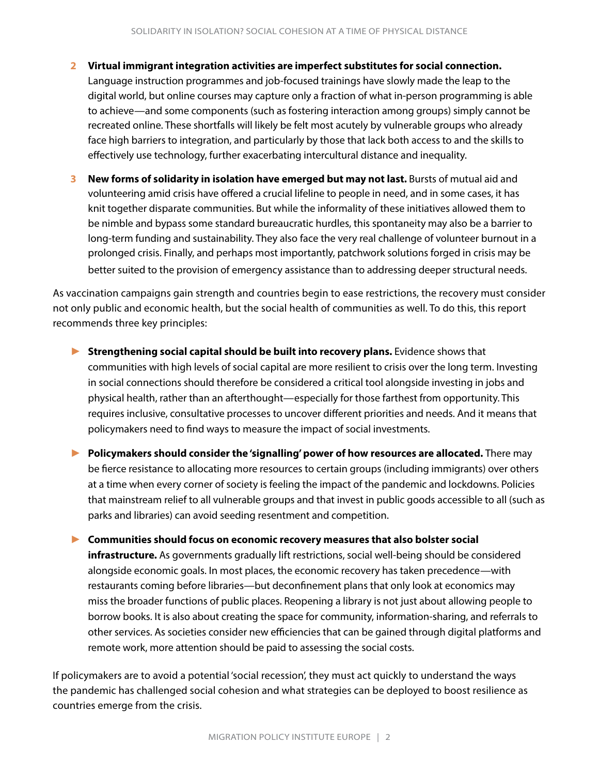- **2 Virtual immigrant integration activities are imperfect substitutes for social connection.**  Language instruction programmes and job-focused trainings have slowly made the leap to the digital world, but online courses may capture only a fraction of what in-person programming is able to achieve—and some components (such as fostering interaction among groups) simply cannot be recreated online. These shortfalls will likely be felt most acutely by vulnerable groups who already face high barriers to integration, and particularly by those that lack both access to and the skills to effectively use technology, further exacerbating intercultural distance and inequality.
- **3** New forms of solidarity in isolation have emerged but may not last. Bursts of mutual aid and volunteering amid crisis have offered a crucial lifeline to people in need, and in some cases, it has knit together disparate communities. But while the informality of these initiatives allowed them to be nimble and bypass some standard bureaucratic hurdles, this spontaneity may also be a barrier to long-term funding and sustainability. They also face the very real challenge of volunteer burnout in a prolonged crisis. Finally, and perhaps most importantly, patchwork solutions forged in crisis may be better suited to the provision of emergency assistance than to addressing deeper structural needs.

As vaccination campaigns gain strength and countries begin to ease restrictions, the recovery must consider not only public and economic health, but the social health of communities as well. To do this, this report recommends three key principles:

- ► **Strengthening social capital should be built into recovery plans.** Evidence shows that communities with high levels of social capital are more resilient to crisis over the long term. Investing in social connections should therefore be considered a critical tool alongside investing in jobs and physical health, rather than an afterthought—especially for those farthest from opportunity. This requires inclusive, consultative processes to uncover different priorities and needs. And it means that policymakers need to find ways to measure the impact of social investments.
- ► **Policymakers should consider the 'signalling' power of how resources are allocated.** There may be fierce resistance to allocating more resources to certain groups (including immigrants) over others at a time when every corner of society is feeling the impact of the pandemic and lockdowns. Policies that mainstream relief to all vulnerable groups and that invest in public goods accessible to all (such as parks and libraries) can avoid seeding resentment and competition.

► **Communities should focus on economic recovery measures that also bolster social infrastructure.** As governments gradually lift restrictions, social well-being should be considered alongside economic goals. In most places, the economic recovery has taken precedence—with restaurants coming before libraries—but deconfinement plans that only look at economics may miss the broader functions of public places. Reopening a library is not just about allowing people to borrow books. It is also about creating the space for community, information-sharing, and referrals to other services. As societies consider new efficiencies that can be gained through digital platforms and remote work, more attention should be paid to assessing the social costs.

If policymakers are to avoid a potential 'social recession', they must act quickly to understand the ways the pandemic has challenged social cohesion and what strategies can be deployed to boost resilience as countries emerge from the crisis.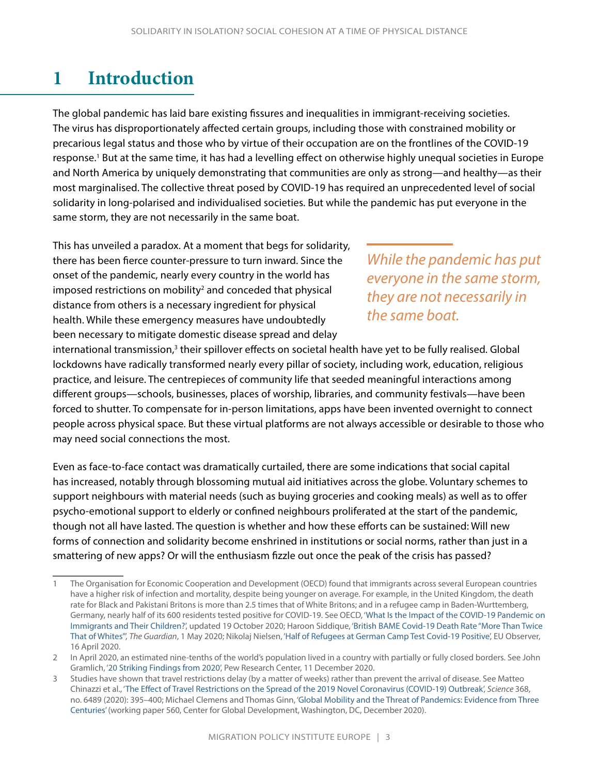## <span id="page-5-0"></span>**1 Introduction**

The global pandemic has laid bare existing fissures and inequalities in immigrant-receiving societies. The virus has disproportionately affected certain groups, including those with constrained mobility or precarious legal status and those who by virtue of their occupation are on the frontlines of the COVID-19 response.<sup>1</sup> But at the same time, it has had a levelling effect on otherwise highly unequal societies in Europe and North America by uniquely demonstrating that communities are only as strong—and healthy—as their most marginalised. The collective threat posed by COVID-19 has required an unprecedented level of social solidarity in long-polarised and individualised societies. But while the pandemic has put everyone in the same storm, they are not necessarily in the same boat.

This has unveiled a paradox. At a moment that begs for solidarity, there has been fierce counter-pressure to turn inward. Since the onset of the pandemic, nearly every country in the world has imposed restrictions on mobility<sup>2</sup> and conceded that physical distance from others is a necessary ingredient for physical health. While these emergency measures have undoubtedly been necessary to mitigate domestic disease spread and delay

*While the pandemic has put everyone in the same storm, they are not necessarily in the same boat.*

international transmission,<sup>3</sup> their spillover effects on societal health have yet to be fully realised. Global lockdowns have radically transformed nearly every pillar of society, including work, education, religious practice, and leisure. The centrepieces of community life that seeded meaningful interactions among different groups—schools, businesses, places of worship, libraries, and community festivals—have been forced to shutter. To compensate for in-person limitations, apps have been invented overnight to connect people across physical space. But these virtual platforms are not always accessible or desirable to those who may need social connections the most.

Even as face-to-face contact was dramatically curtailed, there are some indications that social capital has increased, notably through blossoming mutual aid initiatives across the globe. Voluntary schemes to support neighbours with material needs (such as buying groceries and cooking meals) as well as to offer psycho-emotional support to elderly or confined neighbours proliferated at the start of the pandemic, though not all have lasted. The question is whether and how these efforts can be sustained: Will new forms of connection and solidarity become enshrined in institutions or social norms, rather than just in a smattering of new apps? Or will the enthusiasm fizzle out once the peak of the crisis has passed?

<sup>1</sup> The Organisation for Economic Cooperation and Development (OECD) found that immigrants across several European countries have a higher risk of infection and mortality, despite being younger on average. For example, in the United Kingdom, the death rate for Black and Pakistani Britons is more than 2.5 times that of White Britons; and in a refugee camp in Baden-Wurttemberg, Germany, nearly half of its 600 residents tested positive for COVID-19. See OECD, '[What Is the Impact of the COVID-19 Pandemic on](http://www.oecd.org/coronavirus/policy-responses/what-is-the-impact-of-the-covid-19-pandemic-on-immigrants-and-their-children-e7cbb7de/)  [Immigrants and Their Children?](http://www.oecd.org/coronavirus/policy-responses/what-is-the-impact-of-the-covid-19-pandemic-on-immigrants-and-their-children-e7cbb7de/)', updated 19 October 2020; Haroon Siddique, '[British BAME Covid-19 Death Rate "More Than Twice](https://www.theguardian.com/world/2020/may/01/british-bame-covid-19-death-rate-more-than-twice-that-of-whites)  [That of Whites"'](https://www.theguardian.com/world/2020/may/01/british-bame-covid-19-death-rate-more-than-twice-that-of-whites), *The Guardian*, 1 May 2020; Nikolaj Nielsen, '[Half of Refugees at German Camp Test Covid-19 Positive'](https://euobserver.com/coronavirus/148072), EU Observer, 16 April 2020.

<sup>2</sup> In April 2020, an estimated nine-tenths of the world's population lived in a country with partially or fully closed borders. See John Gramlich, '[20 Striking Findings from 2020'](https://www.pewresearch.org/fact-tank/2020/12/11/20-striking-findings-from-2020/), Pew Research Center, 11 December 2020.

<sup>3</sup> Studies have shown that travel restrictions delay (by a matter of weeks) rather than prevent the arrival of disease. See Matteo Chinazzi et al., '[The Effect of Travel Restrictions on the Spread of the 2019 Novel Coronavirus \(COVID-19\) Outbreak](https://science.sciencemag.org/content/368/6489/395)', *Science* 368, no. 6489 (2020): 395–400; Michael Clemens and Thomas Ginn, ['Global Mobility and the Threat of Pandemics: Evidence from Three](https://www.cgdev.org/publication/global-mobility-and-threat-pandemics-evidence-three-centuries)  [Centuries'](https://www.cgdev.org/publication/global-mobility-and-threat-pandemics-evidence-three-centuries) (working paper 560, Center for Global Development, Washington, DC, December 2020).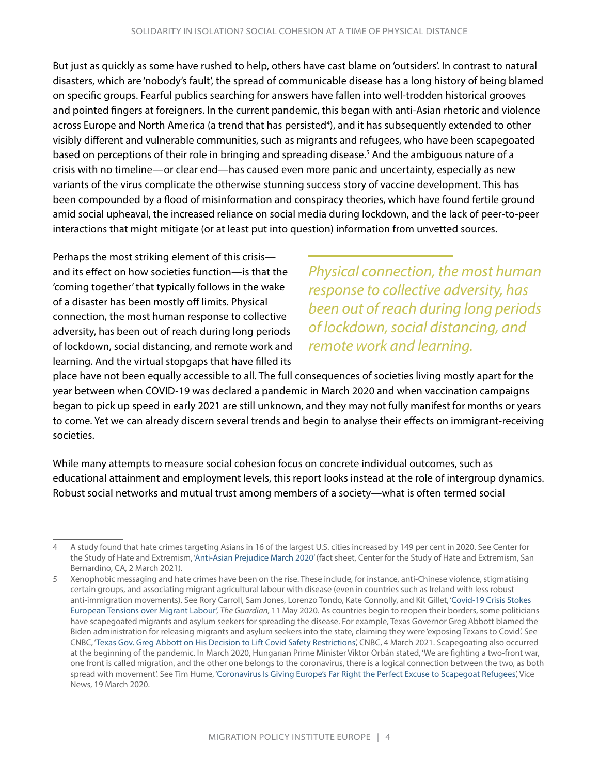But just as quickly as some have rushed to help, others have cast blame on 'outsiders'. In contrast to natural disasters, which are 'nobody's fault', the spread of communicable disease has a long history of being blamed on specific groups. Fearful publics searching for answers have fallen into well-trodden historical grooves and pointed fingers at foreigners. In the current pandemic, this began with anti-Asian rhetoric and violence across Europe and North America (a trend that has persisted<sup>4</sup>), and it has subsequently extended to other visibly different and vulnerable communities, such as migrants and refugees, who have been scapegoated based on perceptions of their role in bringing and spreading disease.<sup>5</sup> And the ambiguous nature of a crisis with no timeline—or clear end—has caused even more panic and uncertainty, especially as new variants of the virus complicate the otherwise stunning success story of vaccine development. This has been compounded by a flood of misinformation and conspiracy theories, which have found fertile ground amid social upheaval, the increased reliance on social media during lockdown, and the lack of peer-to-peer interactions that might mitigate (or at least put into question) information from unvetted sources.

Perhaps the most striking element of this crisis and its effect on how societies function—is that the 'coming together' that typically follows in the wake of a disaster has been mostly off limits. Physical connection, the most human response to collective adversity, has been out of reach during long periods of lockdown, social distancing, and remote work and learning. And the virtual stopgaps that have filled its

*Physical connection, the most human response to collective adversity, has been out of reach during long periods of lockdown, social distancing, and remote work and learning.*

place have not been equally accessible to all. The full consequences of societies living mostly apart for the year between when COVID-19 was declared a pandemic in March 2020 and when vaccination campaigns began to pick up speed in early 2021 are still unknown, and they may not fully manifest for months or years to come. Yet we can already discern several trends and begin to analyse their effects on immigrant-receiving societies.

While many attempts to measure social cohesion focus on concrete individual outcomes, such as educational attainment and employment levels, this report looks instead at the role of intergroup dynamics. Robust social networks and mutual trust among members of a society—what is often termed social

<sup>4</sup> A study found that hate crimes targeting Asians in 16 of the largest U.S. cities increased by 149 per cent in 2020. See Center for the Study of Hate and Extremism, ['Anti-Asian Prejudice March 2020'](https://www.csusb.edu/sites/default/files/FACT%20SHEET-%20Anti-Asian%20Hate%202020%203.2.21.pdf) (fact sheet, Center for the Study of Hate and Extremism, San Bernardino, CA, 2 March 2021).

<sup>5</sup> Xenophobic messaging and hate crimes have been on the rise. These include, for instance, anti-Chinese violence, stigmatising certain groups, and associating migrant agricultural labour with disease (even in countries such as Ireland with less robust anti-immigration movements). See Rory Carroll, Sam Jones, Lorenzo Tondo, Kate Connolly, and Kit Gillet, '[Covid-19 Crisis Stokes](https://www.theguardian.com/world/2020/may/11/covid-19-crisis-stokes-european-tensions-over-migrant-labour)  [European Tensions over Migrant Labour'](https://www.theguardian.com/world/2020/may/11/covid-19-crisis-stokes-european-tensions-over-migrant-labour), *The Guardian,* 11 May 2020. As countries begin to reopen their borders, some politicians have scapegoated migrants and asylum seekers for spreading the disease. For example, Texas Governor Greg Abbott blamed the Biden administration for releasing migrants and asylum seekers into the state, claiming they were 'exposing Texans to Covid'. See CNBC, ['Texas Gov. Greg Abbott on His Decision to Lift Covid Safety Restrictions',](https://www.cnbc.com/video/2021/03/04/texas-governor-greg-abbott-lift-covid-restrictions.html) CNBC, 4 March 2021. Scapegoating also occurred at the beginning of the pandemic. In March 2020, Hungarian Prime Minister Viktor Orbán stated, 'We are fighting a two-front war, one front is called migration, and the other one belongs to the coronavirus, there is a logical connection between the two, as both spread with movement'. See Tim Hume, ['Coronavirus Is Giving Europe's Far Right the Perfect Excuse to Scapegoat Refugees](https://www.vice.com/en/article/884bvv/coronavirus-is-giving-europes-far-right-the-perfect-excuse-to-scapegoat-refugees)', Vice News, 19 March 2020.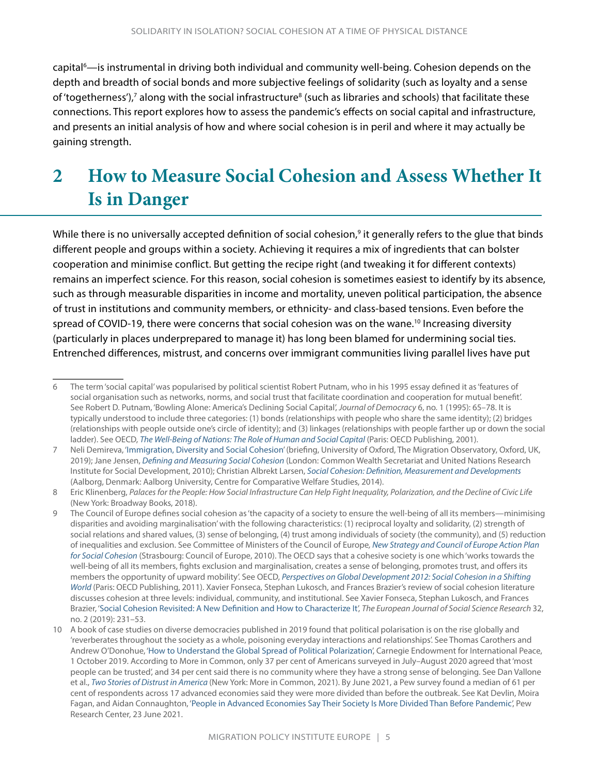<span id="page-7-0"></span>capital<sup>6</sup>—is instrumental in driving both individual and community well-being. Cohesion depends on the depth and breadth of social bonds and more subjective feelings of solidarity (such as loyalty and a sense of 'togetherness'),<sup>7</sup> along with the social infrastructure<sup>8</sup> (such as libraries and schools) that facilitate these connections. This report explores how to assess the pandemic's effects on social capital and infrastructure, and presents an initial analysis of how and where social cohesion is in peril and where it may actually be gaining strength.

# **2 How to Measure Social Cohesion and Assess Whether It Is in Danger**

While there is no universally accepted definition of social cohesion,<sup>9</sup> it generally refers to the glue that binds different people and groups within a society. Achieving it requires a mix of ingredients that can bolster cooperation and minimise conflict. But getting the recipe right (and tweaking it for different contexts) remains an imperfect science. For this reason, social cohesion is sometimes easiest to identify by its absence, such as through measurable disparities in income and mortality, uneven political participation, the absence of trust in institutions and community members, or ethnicity- and class-based tensions. Even before the spread of COVID-19, there were concerns that social cohesion was on the wane.<sup>10</sup> Increasing diversity (particularly in places underprepared to manage it) has long been blamed for undermining social ties. Entrenched differences, mistrust, and concerns over immigrant communities living parallel lives have put

<sup>6</sup> The term 'social capital' was popularised by political scientist Robert Putnam, who in his 1995 essay defined it as 'features of social organisation such as networks, norms, and social trust that facilitate coordination and cooperation for mutual benefit'. See Robert D. Putnam, 'Bowling Alone: America's Declining Social Capital', *Journal of Democracy* 6, no. 1 (1995): 65–78. It is typically understood to include three categories: (1) bonds (relationships with people who share the same identity); (2) bridges (relationships with people outside one's circle of identity); and (3) linkages (relationships with people farther up or down the social ladder). See OECD, *[The Well-Being of Nations: The Role of Human and Social Capital](https://www.oecd.org/site/worldforum/33703702.pdf)* (Paris: OECD Publishing, 2001).

<sup>7</sup> Neli Demireva, '[Immigration, Diversity and Social Cohesion'](https://migrationobservatory.ox.ac.uk/wp-content/uploads/2016/04/Briefing-Immigration-Diversity-and-Social-Cohesion.pdf) (briefing, University of Oxford, The Migration Observatory, Oxford, UK, 2019); Jane Jensen, *[Defining and Measuring Social Cohesion](https://www.files.ethz.ch/isn/151856/Jenson%20ebook.pdf)* (London: Common Wealth Secretariat and United Nations Research Institute for Social Development, 2010); Christian Albrekt Larsen, *[Social Cohesion: Definition, Measurement and Developments](https://www.un.org/esa/socdev/egms/docs/2014/LarsenDevelopmentinsocialcohesion.pdf)* (Aalborg, Denmark: Aalborg University, Centre for Comparative Welfare Studies, 2014).

<sup>8</sup> Eric Klinenberg, *Palaces for the People: How Social Infrastructure Can Help Fight Inequality, Polarization, and the Decline of Civic Life*  (New York: Broadway Books, 2018).

<sup>9</sup> The Council of Europe defines social cohesion as 'the capacity of a society to ensure the well-being of all its members—minimising disparities and avoiding marginalisation' with the following characteristics: (1) reciprocal loyalty and solidarity, (2) strength of social relations and shared values, (3) sense of belonging, (4) trust among individuals of society (the community), and (5) reduction of inequalities and exclusion. See Committee of Ministers of the Council of Europe*, [New Strategy and Council of Europe Action Plan](https://www.coe.int/t/dg3/socialpolicies/socialcohesiondev/source/2010Strategy_ActionPlan_SocialCohesion.pdf)  [for Social Cohesion](https://www.coe.int/t/dg3/socialpolicies/socialcohesiondev/source/2010Strategy_ActionPlan_SocialCohesion.pdf)* (Strasbourg: Council of Europe, 2010). The OECD says that a cohesive society is one which 'works towards the well-being of all its members, fights exclusion and marginalisation, creates a sense of belonging, promotes trust, and offers its members the opportunity of upward mobility'. See OECD, *[Perspectives on Global Development 2012: Social Cohesion in a Shifting](https://www.oecd-ilibrary.org/development/perspectives-on-global-development-2012_persp_glob_dev-2012-en)  [World](https://www.oecd-ilibrary.org/development/perspectives-on-global-development-2012_persp_glob_dev-2012-en)* (Paris: OECD Publishing, 2011). Xavier Fonseca, Stephan Lukosch, and Frances Brazier's review of social cohesion literature discusses cohesion at three levels: individual, community, and institutional. See Xavier Fonseca, Stephan Lukosch, and Frances Brazier, '[Social Cohesion Revisited: A New Definition and How to Characterize It'](https://www.tandfonline.com/doi/full/10.1080/13511610.2018.1497480), *The European Journal of Social Science Research* 32, no. 2 (2019): 231–53.

<sup>10</sup> A book of case studies on diverse democracies published in 2019 found that political polarisation is on the rise globally and 'reverberates throughout the society as a whole, poisoning everyday interactions and relationships'. See Thomas Carothers and Andrew O'Donohue, '[How to Understand the Global Spread of Political Polarization'](https://carnegieendowment.org/2019/10/01/how-to-understand-global-spread-of-political-polarization-pub-79893), Carnegie Endowment for International Peace, 1 October 2019. According to More in Common, only 37 per cent of Americans surveyed in July–August 2020 agreed that 'most people can be trusted', and 34 per cent said there is no community where they have a strong sense of belonging. See Dan Vallone et al., *[Two Stories of Distrust in America](https://www.moreincommon.com/our-work/publications/)* (New York: More in Common, 2021). By June 2021, a Pew survey found a median of 61 per cent of respondents across 17 advanced economies said they were more divided than before the outbreak. See Kat Devlin, Moira Fagan, and Aidan Connaughton, '[People in Advanced Economies Say Their Society Is More Divided Than Before Pandemic](https://www.pewresearch.org/global/2021/06/23/people-in-advanced-economies-say-their-society-is-more-divided-than-before-pandemic/)', Pew Research Center, 23 June 2021.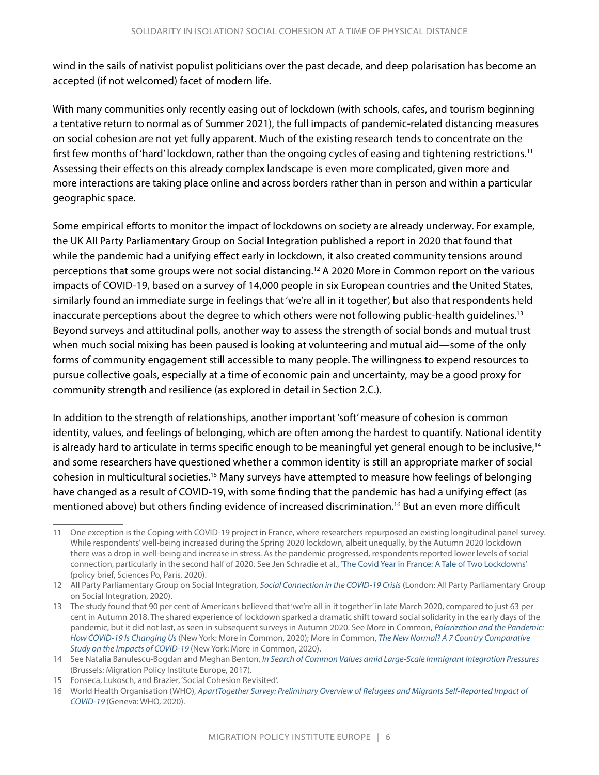wind in the sails of nativist populist politicians over the past decade, and deep polarisation has become an accepted (if not welcomed) facet of modern life.

With many communities only recently easing out of lockdown (with schools, cafes, and tourism beginning a tentative return to normal as of Summer 2021), the full impacts of pandemic-related distancing measures on social cohesion are not yet fully apparent. Much of the existing research tends to concentrate on the first few months of 'hard' lockdown, rather than the ongoing cycles of easing and tightening restrictions.11 Assessing their effects on this already complex landscape is even more complicated, given more and more interactions are taking place online and across borders rather than in person and within a particular geographic space.

Some empirical efforts to monitor the impact of lockdowns on society are already underway. For example, the UK All Party Parliamentary Group on Social Integration published a report in 2020 that found that while the pandemic had a unifying effect early in lockdown, it also created community tensions around perceptions that some groups were not social distancing.12 A 2020 More in Common report on the various impacts of COVID-19, based on a survey of 14,000 people in six European countries and the United States, similarly found an immediate surge in feelings that 'we're all in it together', but also that respondents held inaccurate perceptions about the degree to which others were not following public-health guidelines.<sup>13</sup> Beyond surveys and attitudinal polls, another way to assess the strength of social bonds and mutual trust when much social mixing has been paused is looking at volunteering and mutual aid—some of the only forms of community engagement still accessible to many people. The willingness to expend resources to pursue collective goals, especially at a time of economic pain and uncertainty, may be a good proxy for community strength and resilience (as explored in detail in Section 2.C.).

In addition to the strength of relationships, another important 'soft' measure of cohesion is common identity, values, and feelings of belonging, which are often among the hardest to quantify. National identity is already hard to articulate in terms specific enough to be meaningful yet general enough to be inclusive, $14$ and some researchers have questioned whether a common identity is still an appropriate marker of social cohesion in multicultural societies.15 Many surveys have attempted to measure how feelings of belonging have changed as a result of COVID-19, with some finding that the pandemic has had a unifying effect (as mentioned above) but others finding evidence of increased discrimination.16 But an even more difficult

<sup>11</sup> One exception is the Coping with COVID-19 project in France, where researchers repurposed an existing longitudinal panel survey. While respondents' well-being increased during the Spring 2020 lockdown, albeit unequally, by the Autumn 2020 lockdown there was a drop in well-being and increase in stress. As the pandemic progressed, respondents reported lower levels of social connection, particularly in the second half of 2020. See Jen Schradie et al., '[The Covid Year in France: A Tale of Two Lockdowns](https://zenodo.org/record/4383162)' (policy brief, Sciences Po, Paris, 2020).

<sup>12</sup> All Party Parliamentary Group on Social Integration, *[Social Connection in the COVID-19 Crisis](http://www.britishfuture.org/wp-content/uploads/2020/05/Social-Connection-in-the-COVID-19-Crisis.pdf)* (London: All Party Parliamentary Group on Social Integration, 2020).

<sup>13</sup> The study found that 90 per cent of Americans believed that 'we're all in it together' in late March 2020, compared to just 63 per cent in Autumn 2018. The shared experience of lockdown sparked a dramatic shift toward social solidarity in the early days of the pandemic, but it did not last, as seen in subsequent surveys in Autumn 2020. See More in Common, *[Polarization and the Pandemic:](https://www.moreincommon.com/our-work/publications/)  [How COVID-19 Is Changing Us](https://www.moreincommon.com/our-work/publications/)* (New York: More in Common, 2020); More in Common, *[The New Normal? A 7 Country Comparative](https://www.moreincommon.com/newnormal/)  [Study on the Impacts of COVID-19](https://www.moreincommon.com/newnormal/)* (New York: More in Common, 2020).

<sup>14</sup> See Natalia Banulescu-Bogdan and Meghan Benton, *[In Search of Common Values amid Large-Scale Immigrant Integration Pressures](https://www.migrationpolicy.org/research/search-common-values-amid-large-scale-immigrant-integration-pressures)* (Brussels: Migration Policy Institute Europe, 2017).

<sup>15</sup> Fonseca, Lukosch, and Brazier, 'Social Cohesion Revisited'.

<sup>16</sup> World Health Organisation (WHO), *[ApartTogether Survey: Preliminary Overview of Refugees and Migrants Self-Reported Impact of](https://apps.who.int/iris/handle/10665/337931)  [COVID-19](https://apps.who.int/iris/handle/10665/337931)* (Geneva: WHO, 2020).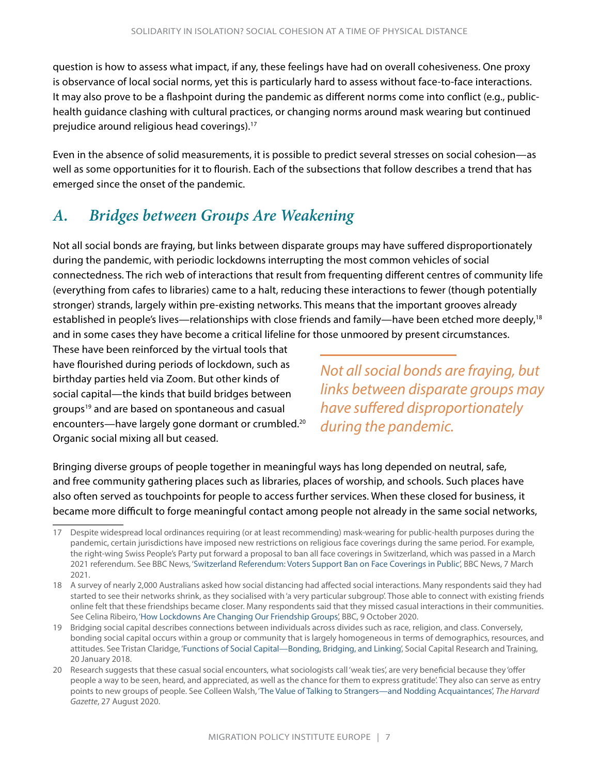<span id="page-9-0"></span>question is how to assess what impact, if any, these feelings have had on overall cohesiveness. One proxy is observance of local social norms, yet this is particularly hard to assess without face-to-face interactions. It may also prove to be a flashpoint during the pandemic as different norms come into conflict (e.g., publichealth guidance clashing with cultural practices, or changing norms around mask wearing but continued prejudice around religious head coverings).17

Even in the absence of solid measurements, it is possible to predict several stresses on social cohesion—as well as some opportunities for it to flourish. Each of the subsections that follow describes a trend that has emerged since the onset of the pandemic.

#### *A. Bridges between Groups Are Weakening*

Not all social bonds are fraying, but links between disparate groups may have suffered disproportionately during the pandemic, with periodic lockdowns interrupting the most common vehicles of social connectedness. The rich web of interactions that result from frequenting different centres of community life (everything from cafes to libraries) came to a halt, reducing these interactions to fewer (though potentially stronger) strands, largely within pre-existing networks. This means that the important grooves already established in people's lives—relationships with close friends and family—have been etched more deeply,<sup>18</sup> and in some cases they have become a critical lifeline for those unmoored by present circumstances.

These have been reinforced by the virtual tools that have flourished during periods of lockdown, such as birthday parties held via Zoom. But other kinds of social capital—the kinds that build bridges between groups<sup>19</sup> and are based on spontaneous and casual encounters—have largely gone dormant or crumbled.<sup>20</sup> Organic social mixing all but ceased.

*Not all social bonds are fraying, but links between disparate groups may have suffered disproportionately during the pandemic.*

Bringing diverse groups of people together in meaningful ways has long depended on neutral, safe, and free community gathering places such as libraries, places of worship, and schools. Such places have also often served as touchpoints for people to access further services. When these closed for business, it became more difficult to forge meaningful contact among people not already in the same social networks,

<sup>17</sup> Despite widespread local ordinances requiring (or at least recommending) mask-wearing for public-health purposes during the pandemic, certain jurisdictions have imposed new restrictions on religious face coverings during the same period. For example, the right-wing Swiss People's Party put forward a proposal to ban all face coverings in Switzerland, which was passed in a March 2021 referendum. See BBC News, ['Switzerland Referendum: Voters Support Ban on Face Coverings in Public'](https://www.bbc.com/news/world-europe-56314173), BBC News, 7 March 2021.

<sup>18</sup> A survey of nearly 2,000 Australians asked how social distancing had affected social interactions. Many respondents said they had started to see their networks shrink, as they socialised with 'a very particular subgroup'. Those able to connect with existing friends online felt that these friendships became closer. Many respondents said that they missed casual interactions in their communities. See Celina Ribeiro, '[How Lockdowns Are Changing Our Friendship Groups](https://www.bbc.com/worklife/article/20201005-how-covid-19-is-changing-our-social-networks)', BBC, 9 October 2020.

<sup>19</sup> Bridging social capital describes connections between individuals across divides such as race, religion, and class. Conversely, bonding social capital occurs within a group or community that is largely homogeneous in terms of demographics, resources, and attitudes. See Tristan Claridge, ['Functions of Social Capital—Bonding, Bridging, and Linking'](https://d1fs2th61pidml.cloudfront.net/wp-content/uploads/2018/11/Functions-of-Social-Capital.pdf?x66629), Social Capital Research and Training, 20 January 2018.

<sup>20</sup> Research suggests that these casual social encounters, what sociologists call 'weak ties', are very beneficial because they 'offer people a way to be seen, heard, and appreciated, as well as the chance for them to express gratitude'. They also can serve as entry points to new groups of people. See Colleen Walsh, '[The Value of Talking to Strangers—and Nodding Acquaintances'](https://news.harvard.edu/gazette/story/2020/08/covid-19-is-evaporating-casual-connections-and-why-thats-bad/), *The Harvard Gazette*, 27 August 2020.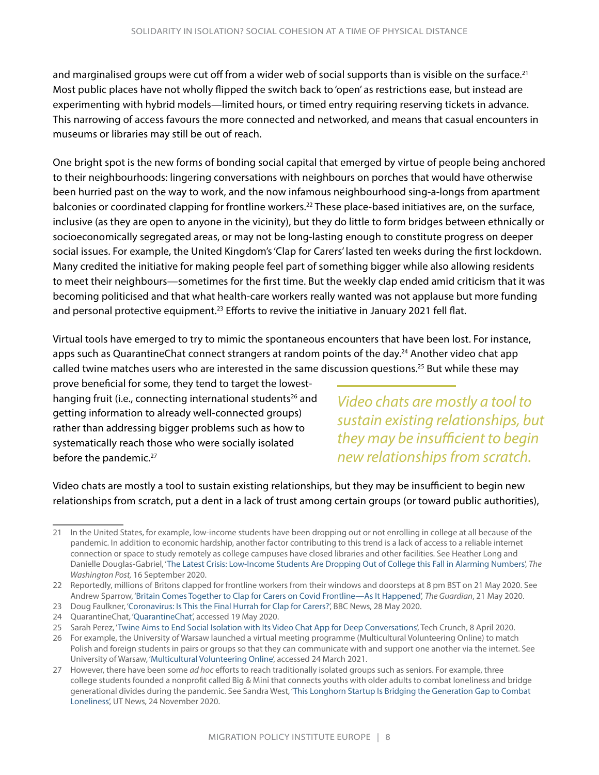and marginalised groups were cut off from a wider web of social supports than is visible on the surface.<sup>21</sup> Most public places have not wholly flipped the switch back to 'open' as restrictions ease, but instead are experimenting with hybrid models—limited hours, or timed entry requiring reserving tickets in advance. This narrowing of access favours the more connected and networked, and means that casual encounters in museums or libraries may still be out of reach.

One bright spot is the new forms of bonding social capital that emerged by virtue of people being anchored to their neighbourhoods: lingering conversations with neighbours on porches that would have otherwise been hurried past on the way to work, and the now infamous neighbourhood sing-a-longs from apartment balconies or coordinated clapping for frontline workers.<sup>22</sup> These place-based initiatives are, on the surface, inclusive (as they are open to anyone in the vicinity), but they do little to form bridges between ethnically or socioeconomically segregated areas, or may not be long-lasting enough to constitute progress on deeper social issues. For example, the United Kingdom's 'Clap for Carers' lasted ten weeks during the first lockdown. Many credited the initiative for making people feel part of something bigger while also allowing residents to meet their neighbours—sometimes for the first time. But the weekly clap ended amid criticism that it was becoming politicised and that what health-care workers really wanted was not applause but more funding and personal protective equipment.<sup>23</sup> Efforts to revive the initiative in January 2021 fell flat.

Virtual tools have emerged to try to mimic the spontaneous encounters that have been lost. For instance, apps such as QuarantineChat connect strangers at random points of the day.<sup>24</sup> Another video chat app called twine matches users who are interested in the same discussion questions.25 But while these may

prove beneficial for some, they tend to target the lowesthanging fruit (i.e., connecting international students<sup>26</sup> and getting information to already well-connected groups) rather than addressing bigger problems such as how to systematically reach those who were socially isolated before the pandemic.<sup>27</sup>

*Video chats are mostly a tool to sustain existing relationships, but they may be insufficient to begin new relationships from scratch.*

Video chats are mostly a tool to sustain existing relationships, but they may be insufficient to begin new relationships from scratch, put a dent in a lack of trust among certain groups (or toward public authorities),

<sup>21</sup> In the United States, for example, low-income students have been dropping out or not enrolling in college at all because of the pandemic. In addition to economic hardship, another factor contributing to this trend is a lack of access to a reliable internet connection or space to study remotely as college campuses have closed libraries and other facilities. See Heather Long and Danielle Douglas-Gabriel, '[The Latest Crisis: Low-Income Students Are Dropping Out of College this Fall in Alarming Numbers',](https://www.washingtonpost.com/business/2020/09/16/college-enrollment-down/) *The Washington Post,* 16 September 2020.

<sup>22</sup> Reportedly, millions of Britons clapped for frontline workers from their windows and doorsteps at 8 pm BST on 21 May 2020. See Andrew Sparrow, ['Britain Comes Together to Clap for Carers on Covid Frontline—As It Happened](https://www.theguardian.com/politics/live/2020/may/21/uk-coronavirus-live-news-update-covid-test-and-trace-second-wave)', *The Guardian*, 21 May 2020.

<sup>23</sup> Doug Faulkner, ['Coronavirus: Is This the Final Hurrah for Clap for Carers?'](https://www.bbc.com/news/uk-52818869), BBC News, 28 May 2020.

<sup>24</sup> QuarantineChat, '[QuarantineChat',](https://quarantinechat.com/) accessed 19 May 2020.

<sup>25</sup> Sarah Perez, ['Twine Aims to End Social Isolation with Its Video Chat App for Deep Conversations](https://techcrunch.com/2020/04/08/twine-aims-to-end-social-isolation-with-its-video-chat-app-for-deep-conversations/)', Tech Crunch, 8 April 2020.

<sup>26</sup> For example, the University of Warsaw launched a virtual meeting programme (Multicultural Volunteering Online) to match Polish and foreign students in pairs or groups so that they can communicate with and support one another via the internet. See University of Warsaw, ['Multicultural Volunteering Online](https://en.uw.edu.pl/multicultural-volunteering-online/)', accessed 24 March 2021.

<sup>27</sup> However, there have been some *ad hoc* efforts to reach traditionally isolated groups such as seniors. For example, three college students founded a nonprofit called Big & Mini that connects youths with older adults to combat loneliness and bridge generational divides during the pandemic. See Sandra West, '[This Longhorn Startup Is Bridging the Generation Gap to Combat](https://news.utexas.edu/2020/11/24/this-longhorn-startup-is-bridging-the-generation-gap-to-combat-loneliness/)  [Loneliness](https://news.utexas.edu/2020/11/24/this-longhorn-startup-is-bridging-the-generation-gap-to-combat-loneliness/)', UT News, 24 November 2020.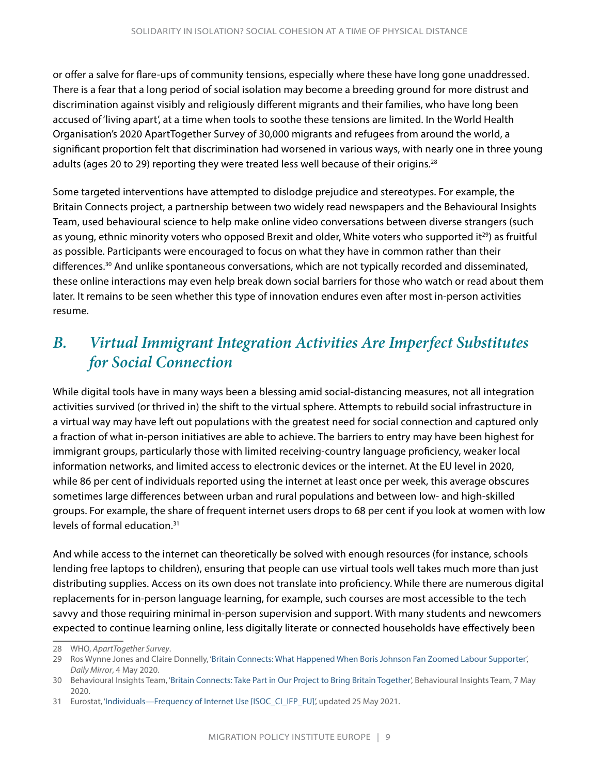<span id="page-11-0"></span>or offer a salve for flare-ups of community tensions, especially where these have long gone unaddressed. There is a fear that a long period of social isolation may become a breeding ground for more distrust and discrimination against visibly and religiously different migrants and their families, who have long been accused of 'living apart', at a time when tools to soothe these tensions are limited. In the World Health Organisation's 2020 ApartTogether Survey of 30,000 migrants and refugees from around the world, a significant proportion felt that discrimination had worsened in various ways, with nearly one in three young adults (ages 20 to 29) reporting they were treated less well because of their origins.<sup>28</sup>

Some targeted interventions have attempted to dislodge prejudice and stereotypes. For example, the Britain Connects project, a partnership between two widely read newspapers and the Behavioural Insights Team, used behavioural science to help make online video conversations between diverse strangers (such as young, ethnic minority voters who opposed Brexit and older, White voters who supported it<sup>29</sup>) as fruitful as possible. Participants were encouraged to focus on what they have in common rather than their differences.<sup>30</sup> And unlike spontaneous conversations, which are not typically recorded and disseminated, these online interactions may even help break down social barriers for those who watch or read about them later. It remains to be seen whether this type of innovation endures even after most in-person activities resume.

#### *B. Virtual Immigrant Integration Activities Are Imperfect Substitutes for Social Connection*

While digital tools have in many ways been a blessing amid social-distancing measures, not all integration activities survived (or thrived in) the shift to the virtual sphere. Attempts to rebuild social infrastructure in a virtual way may have left out populations with the greatest need for social connection and captured only a fraction of what in-person initiatives are able to achieve. The barriers to entry may have been highest for immigrant groups, particularly those with limited receiving-country language proficiency, weaker local information networks, and limited access to electronic devices or the internet. At the EU level in 2020, while 86 per cent of individuals reported using the internet at least once per week, this average obscures sometimes large differences between urban and rural populations and between low- and high-skilled groups. For example, the share of frequent internet users drops to 68 per cent if you look at women with low levels of formal education.31

And while access to the internet can theoretically be solved with enough resources (for instance, schools lending free laptops to children), ensuring that people can use virtual tools well takes much more than just distributing supplies. Access on its own does not translate into proficiency. While there are numerous digital replacements for in-person language learning, for example, such courses are most accessible to the tech savvy and those requiring minimal in-person supervision and support. With many students and newcomers expected to continue learning online, less digitally literate or connected households have effectively been

<sup>28</sup> WHO, *ApartTogether Survey*.

<sup>29</sup> Ros Wynne Jones and Claire Donnelly, ['Britain Connects: What Happened When Boris Johnson Fan Zoomed Labour Supporter](https://www.mirror.co.uk/news/uk-news/britain-connects-what-happened-zoom-21972541)', *Daily Mirror*, 4 May 2020.

<sup>30</sup> Behavioural Insights Team, ['Britain Connects: Take Part in Our Project to Bring Britain Together'](https://www.bi.team/blogs/britain-connects-take-part-in-our-project-to-bring-britain-together/), Behavioural Insights Team, 7 May 2020.

<sup>31</sup> Eurostat, '[Individuals—Frequency of Internet Use \[ISOC\\_CI\\_IFP\\_FU\]'](https://ec.europa.eu/eurostat/web/products-datasets/-/isoc_ci_ifp_fu), updated 25 May 2021.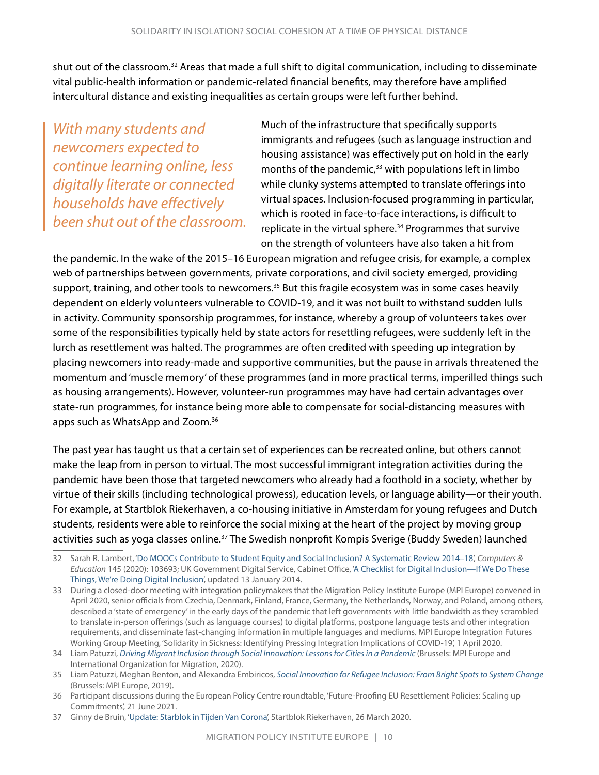shut out of the classroom.32 Areas that made a full shift to digital communication, including to disseminate vital public-health information or pandemic-related financial benefits, may therefore have amplified intercultural distance and existing inequalities as certain groups were left further behind.

*With many students and newcomers expected to continue learning online, less digitally literate or connected households have effectively been shut out of the classroom.* Much of the infrastructure that specifically supports immigrants and refugees (such as language instruction and housing assistance) was effectively put on hold in the early months of the pandemic, $33$  with populations left in limbo while clunky systems attempted to translate offerings into virtual spaces. Inclusion-focused programming in particular, which is rooted in face-to-face interactions, is difficult to replicate in the virtual sphere.<sup>34</sup> Programmes that survive on the strength of volunteers have also taken a hit from

the pandemic. In the wake of the 2015–16 European migration and refugee crisis, for example, a complex web of partnerships between governments, private corporations, and civil society emerged, providing support, training, and other tools to newcomers.<sup>35</sup> But this fragile ecosystem was in some cases heavily dependent on elderly volunteers vulnerable to COVID-19, and it was not built to withstand sudden lulls in activity. Community sponsorship programmes, for instance, whereby a group of volunteers takes over some of the responsibilities typically held by state actors for resettling refugees, were suddenly left in the lurch as resettlement was halted. The programmes are often credited with speeding up integration by placing newcomers into ready-made and supportive communities, but the pause in arrivals threatened the momentum and 'muscle memory' of these programmes (and in more practical terms, imperilled things such as housing arrangements). However, volunteer-run programmes may have had certain advantages over state-run programmes, for instance being more able to compensate for social-distancing measures with apps such as WhatsApp and Zoom.36

The past year has taught us that a certain set of experiences can be recreated online, but others cannot make the leap from in person to virtual. The most successful immigrant integration activities during the pandemic have been those that targeted newcomers who already had a foothold in a society, whether by virtue of their skills (including technological prowess), education levels, or language ability—or their youth. For example, at Startblok Riekerhaven, a co-housing initiative in Amsterdam for young refugees and Dutch students, residents were able to reinforce the social mixing at the heart of the project by moving group activities such as yoga classes online.<sup>37</sup> The Swedish nonprofit Kompis Sverige (Buddy Sweden) launched

<sup>32</sup> Sarah R. Lambert, ['Do MOOCs Contribute to Student Equity and Social Inclusion? A Systematic Review 2014–18'](https://www.sciencedirect.com/science/article/pii/S0360131519302465), *Computers & Education* 145 (2020): 103693; UK Government Digital Service, Cabinet Office, ['A Checklist for Digital Inclusion—If We Do These](https://gds.blog.gov.uk/2014/01/13/a-checklist-for-digital-inclusion-if-we-do-these-things-were-doing-digital-inclusion/)  [Things, We're Doing Digital Inclusion](https://gds.blog.gov.uk/2014/01/13/a-checklist-for-digital-inclusion-if-we-do-these-things-were-doing-digital-inclusion/)', updated 13 January 2014.

<sup>33</sup> During a closed-door meeting with integration policymakers that the Migration Policy Institute Europe (MPI Europe) convened in April 2020, senior officials from Czechia, Denmark, Finland, France, Germany, the Netherlands, Norway, and Poland, among others, described a 'state of emergency' in the early days of the pandemic that left governments with little bandwidth as they scrambled to translate in-person offerings (such as language courses) to digital platforms, postpone language tests and other integration requirements, and disseminate fast-changing information in multiple languages and mediums. MPI Europe Integration Futures Working Group Meeting, 'Solidarity in Sickness: Identifying Pressing Integration Implications of COVID-19', 1 April 2020.

<sup>34</sup> Liam Patuzzi, *[Driving Migrant Inclusion through Social Innovation: Lessons for Cities in a Pandemic](https://www.migrationpolicy.org/research/migrant-inclusion-social-innovation-cities-pandemic)* (Brussels: MPI Europe and International Organization for Migration, 2020).

<sup>35</sup> Liam Patuzzi, Meghan Benton, and Alexandra Embiricos, *[Social Innovation for Refugee Inclusion: From Bright Spots to System Change](https://www.migrationpolicy.org/research/social-innovation-refugee-inclusion-bright-spots-system-change)* (Brussels: MPI Europe, 2019).

<sup>36</sup> Participant discussions during the European Policy Centre roundtable, 'Future-Proofing EU Resettlement Policies: Scaling up Commitments', 21 June 2021.

<sup>37</sup> Ginny de Bruin, ['Update: Starblok in Tijden Van Corona](https://startblokriekerhaven.nl/update-startblok-in-tijden-van-corona/)', Startblok Riekerhaven, 26 March 2020.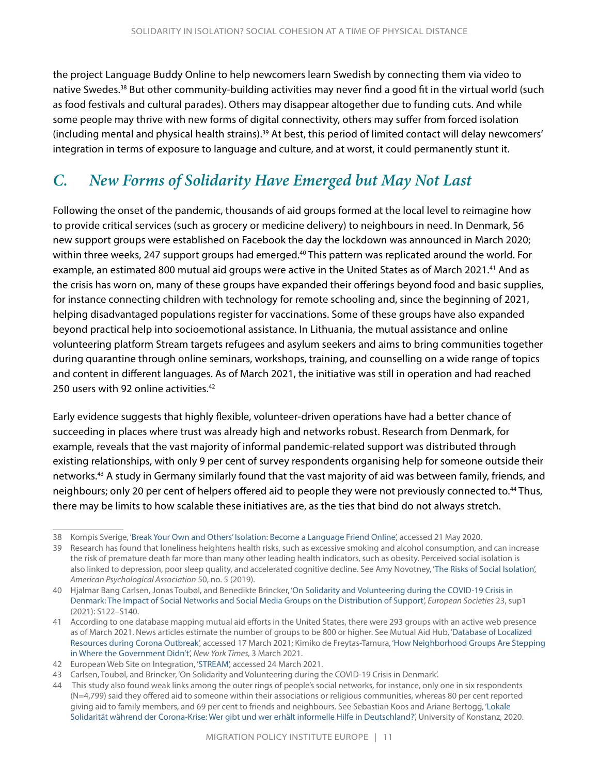<span id="page-13-0"></span>the project Language Buddy Online to help newcomers learn Swedish by connecting them via video to native Swedes.38 But other community-building activities may never find a good fit in the virtual world (such as food festivals and cultural parades). Others may disappear altogether due to funding cuts. And while some people may thrive with new forms of digital connectivity, others may suffer from forced isolation (including mental and physical health strains).<sup>39</sup> At best, this period of limited contact will delay newcomers' integration in terms of exposure to language and culture, and at worst, it could permanently stunt it.

### *C. New Forms of Solidarity Have Emerged but May Not Last*

Following the onset of the pandemic, thousands of aid groups formed at the local level to reimagine how to provide critical services (such as grocery or medicine delivery) to neighbours in need. In Denmark, 56 new support groups were established on Facebook the day the lockdown was announced in March 2020; within three weeks, 247 support groups had emerged.<sup>40</sup> This pattern was replicated around the world. For example, an estimated 800 mutual aid groups were active in the United States as of March 2021.<sup>41</sup> And as the crisis has worn on, many of these groups have expanded their offerings beyond food and basic supplies, for instance connecting children with technology for remote schooling and, since the beginning of 2021, helping disadvantaged populations register for vaccinations. Some of these groups have also expanded beyond practical help into socioemotional assistance. In Lithuania, the mutual assistance and online volunteering platform Stream targets refugees and asylum seekers and aims to bring communities together during quarantine through online seminars, workshops, training, and counselling on a wide range of topics and content in different languages. As of March 2021, the initiative was still in operation and had reached 250 users with 92 online activities.<sup>42</sup>

Early evidence suggests that highly flexible, volunteer-driven operations have had a better chance of succeeding in places where trust was already high and networks robust. Research from Denmark, for example, reveals that the vast majority of informal pandemic-related support was distributed through existing relationships, with only 9 per cent of survey respondents organising help for someone outside their networks.43 A study in Germany similarly found that the vast majority of aid was between family, friends, and neighbours; only 20 per cent of helpers offered aid to people they were not previously connected to.<sup>44</sup> Thus, there may be limits to how scalable these initiatives are, as the ties that bind do not always stretch.

<sup>38</sup> Kompis Sverige, '[Break Your Own and Others' Isolation: Become a Language Friend Online](https://kompissverige.se/sprakkompis-online/)', accessed 21 May 2020.

<sup>39</sup> Research has found that loneliness heightens health risks, such as excessive smoking and alcohol consumption, and can increase the risk of premature death far more than many other leading health indicators, such as obesity. Perceived social isolation is also linked to depression, poor sleep quality, and accelerated cognitive decline. See Amy Novotney, '[The Risks of Social Isolation'](https://www.apa.org/monitor/2019/05/ce-corner-isolation), *American Psychological Association* 50, no. 5 (2019).

<sup>40</sup> Hjalmar Bang Carlsen, Jonas Toubøl, and Benedikte Brincker, ['On Solidarity and Volunteering during the COVID-19 Crisis in](https://www.tandfonline.com/doi/full/10.1080/14616696.2020.1818270)  [Denmark: The Impact of Social Networks and Social Media Groups on the Distribution of Support](https://www.tandfonline.com/doi/full/10.1080/14616696.2020.1818270)', *European Societies* 23, sup1 (2021): S122–S140.

<sup>41</sup> According to one database mapping mutual aid efforts in the United States, there were 293 groups with an active web presence as of March 2021. News articles estimate the number of groups to be 800 or higher. See Mutual Aid Hub, ['Database of Localized](https://www.mutualaidhub.org/resources)  [Resources during Corona Outbreak](https://www.mutualaidhub.org/resources)', accessed 17 March 2021; Kimiko de Freytas-Tamura, '[How Neighborhood Groups Are Stepping](https://www.nytimes.com/2021/03/03/nyregion/covid-19-mutual-aid-nyc.html)  [in Where the Government Didn't'](https://www.nytimes.com/2021/03/03/nyregion/covid-19-mutual-aid-nyc.html), *New York Times,* 3 March 2021.

<sup>42</sup> European Web Site on Integration, '[STREAM'](https://ec.europa.eu/migrant-integration/intpract/stream), accessed 24 March 2021.

<sup>43</sup> Carlsen, Toubøl, and Brincker, 'On Solidarity and Volunteering during the COVID-19 Crisis in Denmark'.

<sup>44</sup> This study also found weak links among the outer rings of people's social networks, for instance, only one in six respondents (N=4,799) said they offered aid to someone within their associations or religious communities, whereas 80 per cent reported giving aid to family members, and 69 per cent to friends and neighbours. See Sebastian Koos and Ariane Bertogg, '[Lokale](https://kops.uni-konstanz.de/bitstream/handle/123456789/49942/Koos_2-15cxzwl16uv9e7.pdf?sequence=1)  [Solidarität während der Corona-Krise: Wer gibt und wer erhält informelle Hilfe in Deutschland?'](https://kops.uni-konstanz.de/bitstream/handle/123456789/49942/Koos_2-15cxzwl16uv9e7.pdf?sequence=1), University of Konstanz, 2020.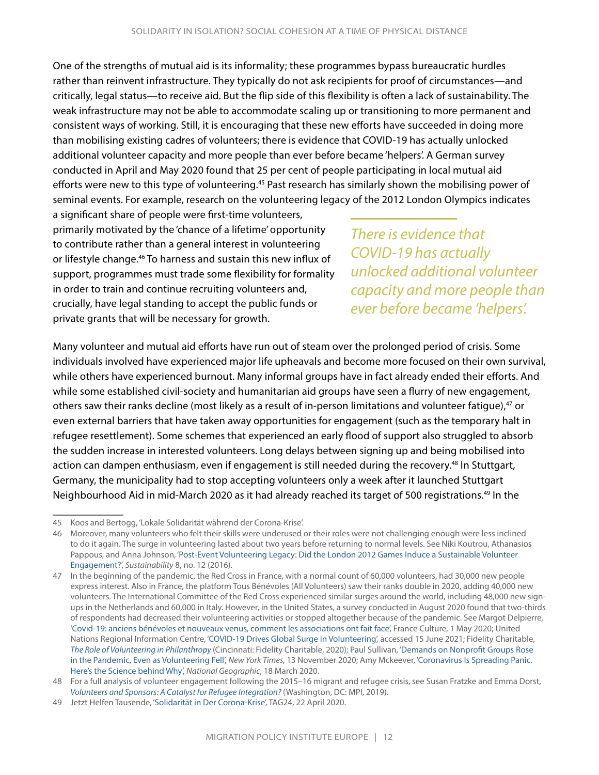One of the strengths of mutual aid is its informality; these programmes bypass bureaucratic hurdles rather than reinvent infrastructure. They typically do not ask recipients for proof of circumstances—and critically, legal status—to receive aid. But the flip side of this flexibility is often a lack of sustainability. The weak infrastructure may not be able to accommodate scaling up or transitioning to more permanent and consistent ways of working. Still, it is encouraging that these new efforts have succeeded in doing more than mobilising existing cadres of volunteers; there is evidence that COVID-19 has actually unlocked additional volunteer capacity and more people than ever before became 'helpers'. A German survey conducted in April and May 2020 found that 25 per cent of people participating in local mutual aid efforts were new to this type of volunteering.<sup>45</sup> Past research has similarly shown the mobilising power of seminal events. For example, research on the volunteering legacy of the 2012 London Olympics indicates

a significant share of people were first-time volunteers, primarily motivated by the 'chance of a lifetime' opportunity to contribute rather than a general interest in volunteering or lifestyle change.46 To harness and sustain this new influx of support, programmes must trade some flexibility for formality in order to train and continue recruiting volunteers and, crucially, have legal standing to accept the public funds or private grants that will be necessary for growth.

*There is evidence that COVID-19 has actually unlocked additional volunteer capacity and more people than ever before became 'helpers'.*

Many volunteer and mutual aid efforts have run out of steam over the prolonged period of crisis. Some individuals involved have experienced major life upheavals and become more focused on their own survival, while others have experienced burnout. Many informal groups have in fact already ended their efforts. And while some established civil-society and humanitarian aid groups have seen a flurry of new engagement, others saw their ranks decline (most likely as a result of in-person limitations and volunteer fatigue),47 or even external barriers that have taken away opportunities for engagement (such as the temporary halt in refugee resettlement). Some schemes that experienced an early flood of support also struggled to absorb the sudden increase in interested volunteers. Long delays between signing up and being mobilised into action can dampen enthusiasm, even if engagement is still needed during the recovery.<sup>48</sup> In Stuttgart, Germany, the municipality had to stop accepting volunteers only a week after it launched Stuttgart Neighbourhood Aid in mid-March 2020 as it had already reached its target of 500 registrations.<sup>49</sup> In the

<sup>45</sup> Koos and Bertogg, 'Lokale Solidarität während der Corona-Krise'.

<sup>46</sup> Moreover, many volunteers who felt their skills were underused or their roles were not challenging enough were less inclined to do it again. The surge in volunteering lasted about two years before returning to normal levels. See Niki Koutrou, Athanasios Pappous, and Anna Johnson, '[Post-Event Volunteering Legacy: Did the London 2012 Games Induce a Sustainable Volunteer](https://www.mdpi.com/2071-1050/8/12/1221)  [Engagement?'](https://www.mdpi.com/2071-1050/8/12/1221), *Sustainability* 8, no. 12 (2016).

<sup>47</sup> In the beginning of the pandemic, the Red Cross in France, with a normal count of 60,000 volunteers, had 30,000 new people express interest. Also in France, the platform Tous Bénévoles (All Volunteers) saw their ranks double in 2020, adding 40,000 new volunteers. The International Committee of the Red Cross experienced similar surges around the world, including 48,000 new signups in the Netherlands and 60,000 in Italy. However, in the United States, a survey conducted in August 2020 found that two-thirds of respondents had decreased their volunteering activities or stopped altogether because of the pandemic. See Margot Delpierre, '[Covid-19: anciens bénévoles et nouveaux venus, comment les associations ont fait face'](https://www.franceculture.fr/societe/covid-19-anciens-benevoles-et-nouveaux-venus-comment-les-associations-ont-fait-face), France Culture, 1 May 2020; United Nations Regional Information Centre, ['COVID-19 Drives Global Surge in Volunteering'](https://www.un.org/en/coronavirus/covid-19-drives-global-surge-volunteering), accessed 15 June 2021; Fidelity Charitable, *[The Role of Volunteering in Philanthropy](https://www.fidelitycharitable.org/content/dam/fc-public/docs/resources/the-role-of-volunteering-in-philanthropy.pdf)* (Cincinnati: Fidelity Charitable, 2020); Paul Sullivan, ['Demands on Nonprofit Groups Rose](https://www.nytimes.com/2020/11/13/your-money/nonprofit-groups-volunteers-pandemic.html)  [in the Pandemic, Even as Volunteering Fell](https://www.nytimes.com/2020/11/13/your-money/nonprofit-groups-volunteers-pandemic.html)', *New York Times,* 13 November 2020; Amy Mckeever, '[Coronavirus Is Spreading Panic.](https://www.nationalgeographic.com/history/article/why-we-evolved-to-feel-panic-anxiety)  [Here's the Science behind Why](https://www.nationalgeographic.com/history/article/why-we-evolved-to-feel-panic-anxiety)', *National Geographic*, 18 March 2020.

<sup>48</sup> For a full analysis of volunteer engagement following the 2015–16 migrant and refugee crisis, see Susan Fratzke and Emma Dorst, *[Volunteers and Sponsors: A Catalyst for Refugee Integration?](https://www.migrationpolicy.org/research/volunteers-sponsors-refugee-integration)* (Washington, DC: MPI, 2019).

<sup>49</sup> Jetzt Helfen Tausende, ['Solidarität in Der Corona-Krise'](https://www.tag24.de/thema/coronavirus/stuttgart-coronavirus-covid-19-corona-krise-tausende-helfen-freiwillig-solidaritaet-hilfe-1494061), TAG24, 22 April 2020.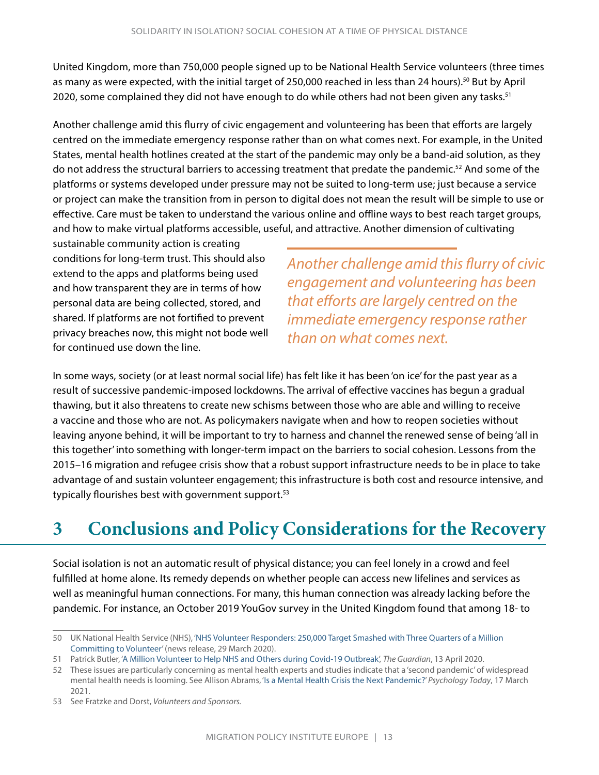<span id="page-15-0"></span>United Kingdom, more than 750,000 people signed up to be National Health Service volunteers (three times as many as were expected, with the initial target of 250,000 reached in less than 24 hours).<sup>50</sup> But by April 2020, some complained they did not have enough to do while others had not been given any tasks.<sup>51</sup>

Another challenge amid this flurry of civic engagement and volunteering has been that efforts are largely centred on the immediate emergency response rather than on what comes next. For example, in the United States, mental health hotlines created at the start of the pandemic may only be a band-aid solution, as they do not address the structural barriers to accessing treatment that predate the pandemic.52 And some of the platforms or systems developed under pressure may not be suited to long-term use; just because a service or project can make the transition from in person to digital does not mean the result will be simple to use or effective. Care must be taken to understand the various online and offline ways to best reach target groups, and how to make virtual platforms accessible, useful, and attractive. Another dimension of cultivating

sustainable community action is creating conditions for long-term trust. This should also extend to the apps and platforms being used and how transparent they are in terms of how personal data are being collected, stored, and shared. If platforms are not fortified to prevent privacy breaches now, this might not bode well for continued use down the line.

*Another challenge amid this flurry of civic engagement and volunteering has been that efforts are largely centred on the immediate emergency response rather than on what comes next.*

In some ways, society (or at least normal social life) has felt like it has been 'on ice' for the past year as a result of successive pandemic-imposed lockdowns. The arrival of effective vaccines has begun a gradual thawing, but it also threatens to create new schisms between those who are able and willing to receive a vaccine and those who are not. As policymakers navigate when and how to reopen societies without leaving anyone behind, it will be important to try to harness and channel the renewed sense of being 'all in this together' into something with longer-term impact on the barriers to social cohesion. Lessons from the 2015–16 migration and refugee crisis show that a robust support infrastructure needs to be in place to take advantage of and sustain volunteer engagement; this infrastructure is both cost and resource intensive, and typically flourishes best with government support.<sup>53</sup>

### **3 Conclusions and Policy Considerations for the Recovery**

Social isolation is not an automatic result of physical distance; you can feel lonely in a crowd and feel fulfilled at home alone. Its remedy depends on whether people can access new lifelines and services as well as meaningful human connections. For many, this human connection was already lacking before the pandemic. For instance, an October 2019 YouGov survey in the United Kingdom found that among 18- to

<sup>50</sup> UK National Health Service (NHS), ['NHS Volunteer Responders: 250,000 Target Smashed with Three Quarters of a Million](https://www.england.nhs.uk/2020/03/250000-nhs-volunteers/)  [Committing to Volunteer](https://www.england.nhs.uk/2020/03/250000-nhs-volunteers/)' (news release, 29 March 2020).

<sup>51</sup> Patrick Butler, ['A Million Volunteer to Help NHS and Others during Covid-19 Outbreak](https://www.theguardian.com/society/2020/apr/13/a-million-volunteer-to-help-nhs-and-others-during-covid-19-lockdown)', *The Guardian*, 13 April 2020.

<sup>52</sup> These issues are particularly concerning as mental health experts and studies indicate that a 'second pandemic' of widespread mental health needs is looming. See Allison Abrams, '[Is a Mental Health Crisis the Next Pandemic?'](https://www.psychologytoday.com/us/blog/nurturing-self-compassion/202103/is-mental-health-crisis-the-next-pandemic) *Psychology Today*, 17 March 2021.

<sup>53</sup> See Fratzke and Dorst, *Volunteers and Sponsors.*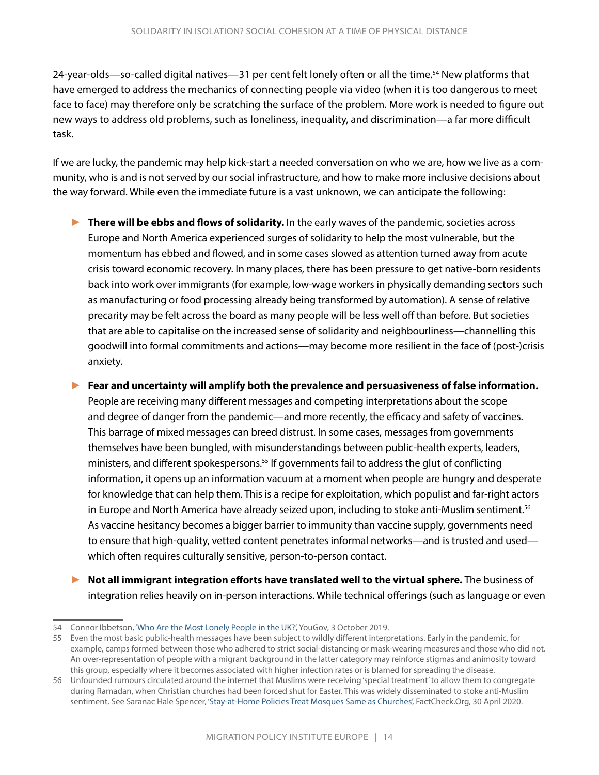24-year-olds—so-called digital natives—31 per cent felt lonely often or all the time.<sup>54</sup> New platforms that have emerged to address the mechanics of connecting people via video (when it is too dangerous to meet face to face) may therefore only be scratching the surface of the problem. More work is needed to figure out new ways to address old problems, such as loneliness, inequality, and discrimination—a far more difficult task.

If we are lucky, the pandemic may help kick-start a needed conversation on who we are, how we live as a community, who is and is not served by our social infrastructure, and how to make more inclusive decisions about the way forward. While even the immediate future is a vast unknown, we can anticipate the following:

- ► **There will be ebbs and flows of solidarity.** In the early waves of the pandemic, societies across Europe and North America experienced surges of solidarity to help the most vulnerable, but the momentum has ebbed and flowed, and in some cases slowed as attention turned away from acute crisis toward economic recovery. In many places, there has been pressure to get native-born residents back into work over immigrants (for example, low-wage workers in physically demanding sectors such as manufacturing or food processing already being transformed by automation). A sense of relative precarity may be felt across the board as many people will be less well off than before. But societies that are able to capitalise on the increased sense of solidarity and neighbourliness—channelling this goodwill into formal commitments and actions—may become more resilient in the face of (post-)crisis anxiety.
- ► **Fear and uncertainty will amplify both the prevalence and persuasiveness of false information.**  People are receiving many different messages and competing interpretations about the scope and degree of danger from the pandemic—and more recently, the efficacy and safety of vaccines. This barrage of mixed messages can breed distrust. In some cases, messages from governments themselves have been bungled, with misunderstandings between public-health experts, leaders, ministers, and different spokespersons.<sup>55</sup> If governments fail to address the glut of conflicting information, it opens up an information vacuum at a moment when people are hungry and desperate for knowledge that can help them. This is a recipe for exploitation, which populist and far-right actors in Europe and North America have already seized upon, including to stoke anti-Muslim sentiment.<sup>56</sup> As vaccine hesitancy becomes a bigger barrier to immunity than vaccine supply, governments need to ensure that high-quality, vetted content penetrates informal networks—and is trusted and used which often requires culturally sensitive, person-to-person contact.
- ► **Not all immigrant integration efforts have translated well to the virtual sphere.** The business of integration relies heavily on in-person interactions. While technical offerings (such as language or even

<sup>54</sup> Connor Ibbetson, ['Who Are the Most Lonely People in the UK?'](https://yougov.co.uk/topics/relationships/articles-reports/2019/10/03/young-britons-are-most-lonely), YouGov, 3 October 2019.

<sup>55</sup> Even the most basic public-health messages have been subject to wildly different interpretations. Early in the pandemic, for example, camps formed between those who adhered to strict social-distancing or mask-wearing measures and those who did not. An over-representation of people with a migrant background in the latter category may reinforce stigmas and animosity toward this group, especially where it becomes associated with higher infection rates or is blamed for spreading the disease.

<sup>56</sup> Unfounded rumours circulated around the internet that Muslims were receiving 'special treatment' to allow them to congregate during Ramadan, when Christian churches had been forced shut for Easter. This was widely disseminated to stoke anti-Muslim sentiment. See Saranac Hale Spencer, ['Stay-at-Home Policies Treat Mosques Same as Churches'](https://www.factcheck.org/2020/04/stay-at-home-policies-treat-mosques-same-as-churches/), FactCheck.Org, 30 April 2020.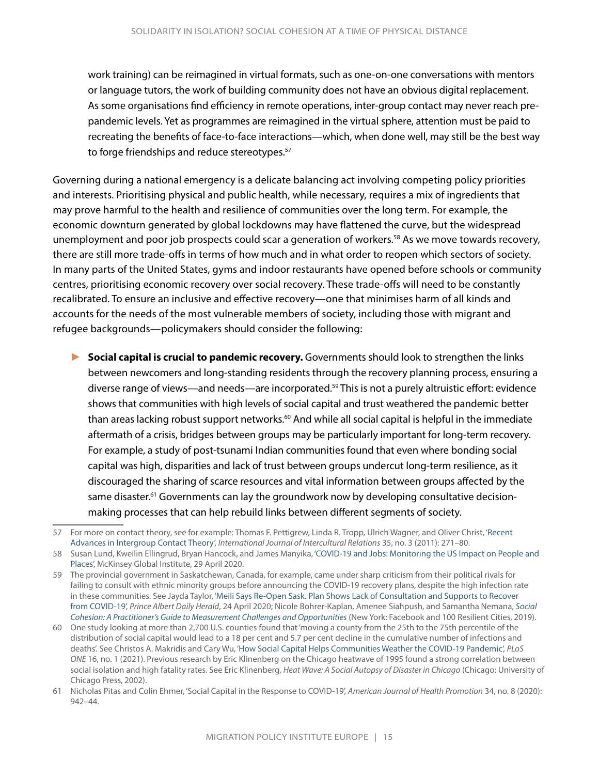work training) can be reimagined in virtual formats, such as one-on-one conversations with mentors or language tutors, the work of building community does not have an obvious digital replacement. As some organisations find efficiency in remote operations, inter-group contact may never reach prepandemic levels. Yet as programmes are reimagined in the virtual sphere, attention must be paid to recreating the benefits of face-to-face interactions—which, when done well, may still be the best way to forge friendships and reduce stereotypes.<sup>57</sup>

Governing during a national emergency is a delicate balancing act involving competing policy priorities and interests. Prioritising physical and public health, while necessary, requires a mix of ingredients that may prove harmful to the health and resilience of communities over the long term. For example, the economic downturn generated by global lockdowns may have flattened the curve, but the widespread unemployment and poor job prospects could scar a generation of workers.58 As we move towards recovery, there are still more trade-offs in terms of how much and in what order to reopen which sectors of society. In many parts of the United States, gyms and indoor restaurants have opened before schools or community centres, prioritising economic recovery over social recovery. These trade-offs will need to be constantly recalibrated. To ensure an inclusive and effective recovery—one that minimises harm of all kinds and accounts for the needs of the most vulnerable members of society, including those with migrant and refugee backgrounds—policymakers should consider the following:

► **Social capital is crucial to pandemic recovery.** Governments should look to strengthen the links between newcomers and long-standing residents through the recovery planning process, ensuring a diverse range of views—and needs—are incorporated.59 This is not a purely altruistic effort: evidence shows that communities with high levels of social capital and trust weathered the pandemic better than areas lacking robust support networks.<sup>60</sup> And while all social capital is helpful in the immediate aftermath of a crisis, bridges between groups may be particularly important for long-term recovery. For example, a study of post-tsunami Indian communities found that even where bonding social capital was high, disparities and lack of trust between groups undercut long-term resilience, as it discouraged the sharing of scarce resources and vital information between groups affected by the same disaster.<sup>61</sup> Governments can lay the groundwork now by developing consultative decisionmaking processes that can help rebuild links between different segments of society.

<sup>57</sup> For more on contact theory, see for example: Thomas F. Pettigrew, Linda R. Tropp, Ulrich Wagner, and Oliver Christ, ['Recent](https://www.sciencedirect.com/science/article/abs/pii/S0147176711000332)  [Advances in Intergroup Contact Theory'](https://www.sciencedirect.com/science/article/abs/pii/S0147176711000332), *International Journal of Intercultural Relations* 35, no. 3 (2011): 271–80.

<sup>58</sup> Susan Lund, Kweilin Ellingrud, Bryan Hancock, and James Manyika, ['COVID-19 and Jobs: Monitoring the US Impact on People and](https://www.mckinsey.com/industries/public-and-social-sector/our-insights/covid-19-and-jobs-monitoring-the-us-impact-on-people-and-places)  [Places](https://www.mckinsey.com/industries/public-and-social-sector/our-insights/covid-19-and-jobs-monitoring-the-us-impact-on-people-and-places)', McKinsey Global Institute, 29 April 2020.

<sup>59</sup> The provincial government in Saskatchewan, Canada, for example, came under sharp criticism from their political rivals for failing to consult with ethnic minority groups before announcing the COVID-19 recovery plans, despite the high infection rate in these communities. See Jayda Taylor, ['Meili Says Re-Open Sask. Plan Shows Lack of Consultation and Supports to Recover](https://paherald.sk.ca/2020/04/24/meili-says-re-open-sask-plan-shows-lack-of-consultation-and-supports-to-recover-from-covid-19/)  [from COVID-19](https://paherald.sk.ca/2020/04/24/meili-says-re-open-sask-plan-shows-lack-of-consultation-and-supports-to-recover-from-covid-19/)', *Prince Albert Daily Herald*, 24 April 2020; Nicole Bohrer-Kaplan, Amenee Siahpush, and Samantha Nemana, *[Social](https://resilientcitiesnetwork.org/downloadable_resources/UR/Social-Cohesion-Handbook.pdf)*  [Cohesion: A Practitioner's Guide to Measurement Challenges and Opportunities](https://resilientcitiesnetwork.org/downloadable_resources/UR/Social-Cohesion-Handbook.pdf) (New York: Facebook and 100 Resilient Cities, 2019).

<sup>60</sup> One study looking at more than 2,700 U.S. counties found that 'moving a county from the 25th to the 75th percentile of the distribution of social capital would lead to a 18 per cent and 5.7 per cent decline in the cumulative number of infections and deaths'. See Christos A. Makridis and Cary Wu, ['How Social Capital Helps Communities Weather the COVID-19 Pandemic'](https://journals.plos.org/plosone/article?id=10.1371/journal.pone.0245135), *PLoS ONE* 16, no. 1 (2021). Previous research by Eric Klinenberg on the Chicago heatwave of 1995 found a strong correlation between social isolation and high fatality rates. See Eric Klinenberg, *Heat Wave: A Social Autopsy of Disaster in Chicago* (Chicago: University of Chicago Press, 2002).

<sup>61</sup> Nicholas Pitas and Colin Ehmer, 'Social Capital in the Response to COVID-19', *American Journal of Health Promotion* 34, no. 8 (2020): 942–44.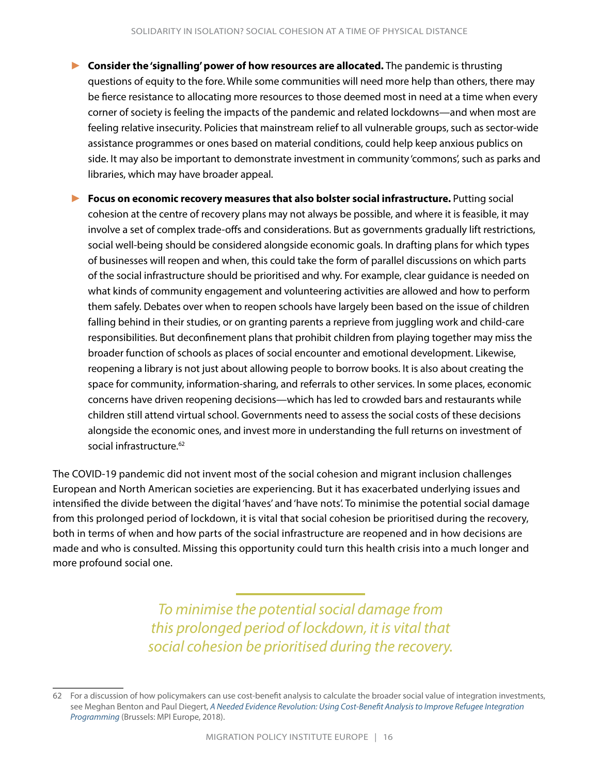- ► **Consider the 'signalling' power of how resources are allocated.** The pandemic is thrusting questions of equity to the fore. While some communities will need more help than others, there may be fierce resistance to allocating more resources to those deemed most in need at a time when every corner of society is feeling the impacts of the pandemic and related lockdowns—and when most are feeling relative insecurity. Policies that mainstream relief to all vulnerable groups, such as sector-wide assistance programmes or ones based on material conditions, could help keep anxious publics on side. It may also be important to demonstrate investment in community 'commons', such as parks and libraries, which may have broader appeal.
- ► **Focus on economic recovery measures that also bolster social infrastructure.** Putting social cohesion at the centre of recovery plans may not always be possible, and where it is feasible, it may involve a set of complex trade-offs and considerations. But as governments gradually lift restrictions, social well-being should be considered alongside economic goals. In drafting plans for which types of businesses will reopen and when, this could take the form of parallel discussions on which parts of the social infrastructure should be prioritised and why. For example, clear guidance is needed on what kinds of community engagement and volunteering activities are allowed and how to perform them safely. Debates over when to reopen schools have largely been based on the issue of children falling behind in their studies, or on granting parents a reprieve from juggling work and child-care responsibilities. But deconfinement plans that prohibit children from playing together may miss the broader function of schools as places of social encounter and emotional development. Likewise, reopening a library is not just about allowing people to borrow books. It is also about creating the space for community, information-sharing, and referrals to other services. In some places, economic concerns have driven reopening decisions—which has led to crowded bars and restaurants while children still attend virtual school. Governments need to assess the social costs of these decisions alongside the economic ones, and invest more in understanding the full returns on investment of social infrastructure.<sup>62</sup>

The COVID-19 pandemic did not invent most of the social cohesion and migrant inclusion challenges European and North American societies are experiencing. But it has exacerbated underlying issues and intensified the divide between the digital 'haves' and 'have nots'. To minimise the potential social damage from this prolonged period of lockdown, it is vital that social cohesion be prioritised during the recovery, both in terms of when and how parts of the social infrastructure are reopened and in how decisions are made and who is consulted. Missing this opportunity could turn this health crisis into a much longer and more profound social one.

> *To minimise the potential social damage from this prolonged period of lockdown, it is vital that social cohesion be prioritised during the recovery.*

<sup>62</sup> For a discussion of how policymakers can use cost-benefit analysis to calculate the broader social value of integration investments, see Meghan Benton and Paul Diegert, *[A Needed Evidence Revolution: Using Cost-Benefit Analysis to Improve Refugee Integration](https://www.migrationpolicy.org/research/cost-benefit-analysis-refugee-integration-programming)  [Programming](https://www.migrationpolicy.org/research/cost-benefit-analysis-refugee-integration-programming)* (Brussels: MPI Europe, 2018).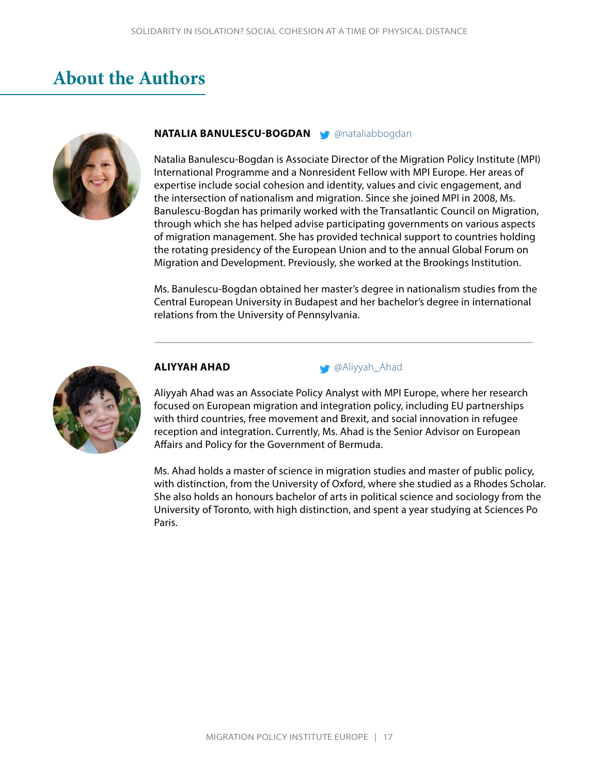### <span id="page-19-0"></span>**About the Authors**



#### **NATALIA BANULESCU-BOGDAN Mataliabbogdan**

Natalia Banulescu-Bogdan is Associate Director of the Migration Policy Institute (MPI) International Programme and a Nonresident Fellow with MPI Europe. Her areas of expertise include social cohesion and identity, values and civic engagement, and the intersection of nationalism and migration. Since she joined MPI in 2008, Ms. Banulescu-Bogdan has primarily worked with the Transatlantic Council on Migration, through which she has helped advise participating governments on various aspects of migration management. She has provided technical support to countries holding the rotating presidency of the European Union and to the annual Global Forum on Migration and Development. Previously, she worked at the Brookings Institution.

Ms. Banulescu-Bogdan obtained her master's degree in nationalism studies from the Central European University in Budapest and her bachelor's degree in international relations from the University of Pennsylvania.





Aliyyah Ahad was an Associate Policy Analyst with MPI Europe, where her research focused on European migration and integration policy, including EU partnerships with third countries, free movement and Brexit, and social innovation in refugee reception and integration. Currently, Ms. Ahad is the Senior Advisor on European Affairs and Policy for the Government of Bermuda.

Ms. Ahad holds a master of science in migration studies and master of public policy, with distinction, from the University of Oxford, where she studied as a Rhodes Scholar. She also holds an honours bachelor of arts in political science and sociology from the University of Toronto, with high distinction, and spent a year studying at Sciences Po Paris.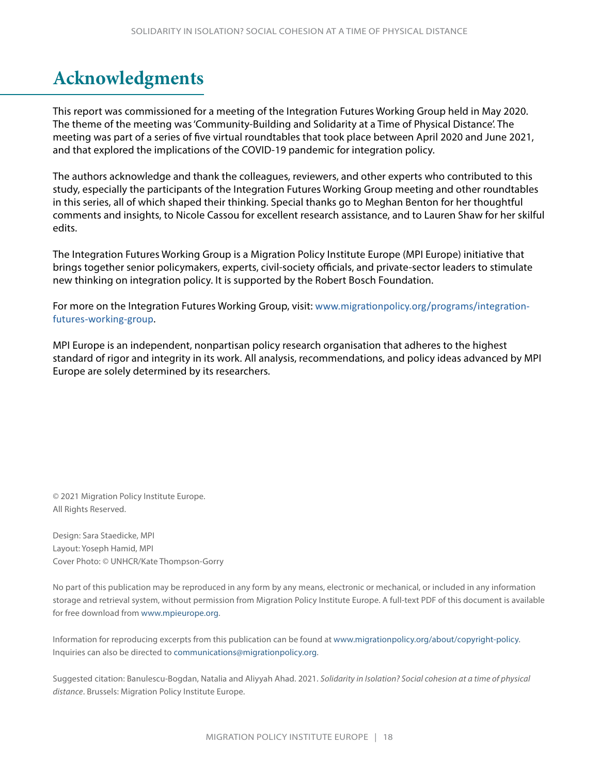# <span id="page-20-0"></span>**Acknowledgments**

This report was commissioned for a meeting of the Integration Futures Working Group held in May 2020. The theme of the meeting was 'Community-Building and Solidarity at a Time of Physical Distance'. The meeting was part of a series of five virtual roundtables that took place between April 2020 and June 2021, and that explored the implications of the COVID-19 pandemic for integration policy.

The authors acknowledge and thank the colleagues, reviewers, and other experts who contributed to this study, especially the participants of the Integration Futures Working Group meeting and other roundtables in this series, all of which shaped their thinking. Special thanks go to Meghan Benton for her thoughtful comments and insights, to Nicole Cassou for excellent research assistance, and to Lauren Shaw for her skilful edits.

The Integration Futures Working Group is a Migration Policy Institute Europe (MPI Europe) initiative that brings together senior policymakers, experts, civil-society officials, and private-sector leaders to stimulate new thinking on integration policy. It is supported by the Robert Bosch Foundation.

For more on the Integration Futures Working Group, visit: [www.migrationpolicy.org/programs/integration](http://www.migrationpolicy.org/programs/integration-futures-working-group)[futures-working-group](http://www.migrationpolicy.org/programs/integration-futures-working-group).

MPI Europe is an independent, nonpartisan policy research organisation that adheres to the highest standard of rigor and integrity in its work. All analysis, recommendations, and policy ideas advanced by MPI Europe are solely determined by its researchers.

© 2021 Migration Policy Institute Europe. All Rights Reserved.

Design: Sara Staedicke, MPI Layout: Yoseph Hamid, MPI Cover Photo: © UNHCR/Kate Thompson-Gorry

No part of this publication may be reproduced in any form by any means, electronic or mechanical, or included in any information storage and retrieval system, without permission from Migration Policy Institute Europe. A full-text PDF of this document is available for free download from [www.mpieurope.org](http://www.mpieurope.org).

Information for reproducing excerpts from this publication can be found at [www.migrationpolicy.org/about/copyright-policy](http://www.migrationpolicy.org/about/copyright-policy). Inquiries can also be directed to [communications@migrationpolicy.org.](mailto:communications@migrationpolicy.org)

Suggested citation: Banulescu-Bogdan, Natalia and Aliyyah Ahad. 2021. *Solidarity in Isolation? Social cohesion at a time of physical distance*. Brussels: Migration Policy Institute Europe.